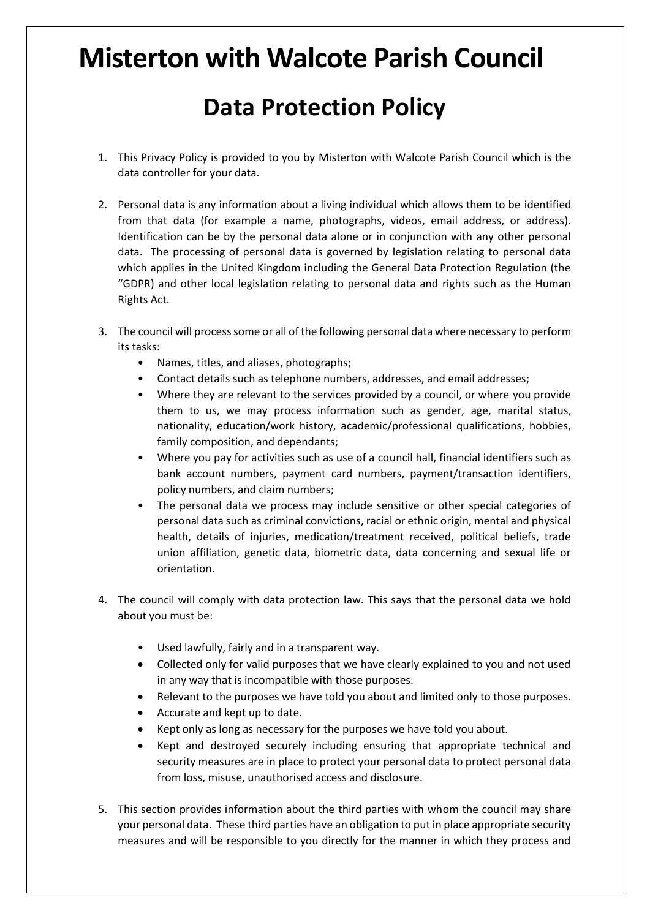## **Misterton with Walcote Parish Council Data Protection Policy**

- 1. This Privacy Policy is provided to you by Misterton with Walcote Parish Council which is the data controller for your data.
- 2. Personal data is any information about a living individual which allows them to be identified from that data (for example a name, photographs, videos, email address, or address). Identification can be by the personal data alone or in conjunction with any other personal data. The processing of personal data is governed by legislation relating to personal data which applies in the United Kingdom including the General Data Protection Regulation (the "GDPR) and other local legislation relating to personal data and rights such as the Human Rights Act.
- 3. The council will process some or all of the following personal data where necessary to perform its tasks:
	- Names, titles, and aliases, photographs;
	- Contact details such as telephone numbers, addresses, and email addresses;
	- Where they are relevant to the services provided by a council, or where you provide them to us, we may process information such as gender, age, marital status, nationality, education/work history, academic/professional qualifications, hobbies, family composition, and dependants;
	- Where you pay for activities such as use of a council hall, financial identifiers such as bank account numbers, payment card numbers, payment/transaction identifiers, policy numbers, and claim numbers;
	- The personal data we process may include sensitive or other special categories of personal data such as criminal convictions, racial or ethnic origin, mental and physical health, details of injuries, medication/treatment received, political beliefs, trade union affiliation, genetic data, biometric data, data concerning and sexual life or orientation.
- 4. The council will comply with data protection law. This says that the personal data we hold about you must be:
	- Used lawfully, fairly and in a transparent way.
	- Collected only for valid purposes that we have clearly explained to you and not used in any way that is incompatible with those purposes.
	- Relevant to the purposes we have told you about and limited only to those purposes.
	- Accurate and kept up to date.
	- Kept only as long as necessary for the purposes we have told you about.
	- Kept and destroyed securely including ensuring that appropriate technical and security measures are in place to protect your personal data to protect personal data from loss, misuse, unauthorised access and disclosure.
- 5. This section provides information about the third parties with whom the council may share your personal data. These third parties have an obligation to put in place appropriate security measures and will be responsible to you directly for the manner in which they process and